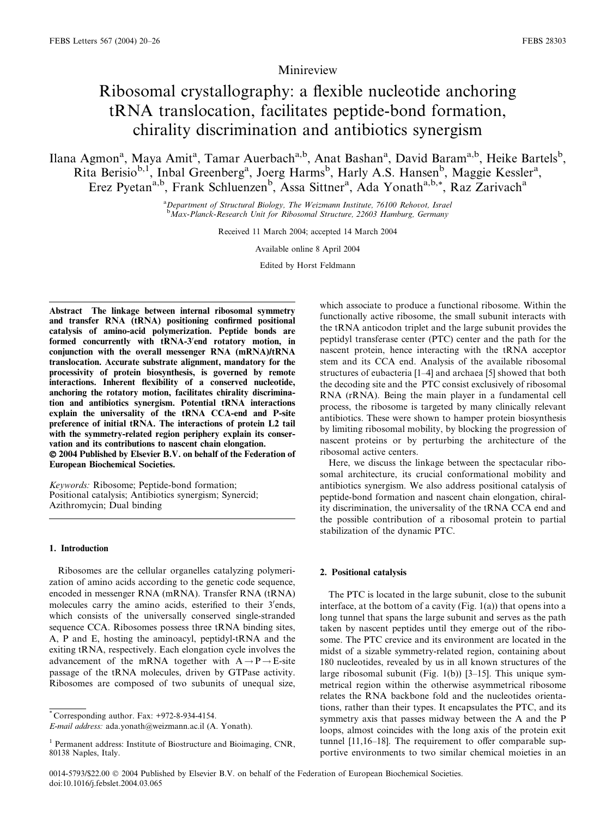# Minireview

# Ribosomal crystallography: a flexible nucleotide anchoring tRNA translocation, facilitates peptide-bond formation, chirality discrimination and antibiotics synergism

Ilana Agmon<sup>a</sup>, Maya Amit<sup>a</sup>, Tamar Auerbach<sup>a,b</sup>, Anat Bashan<sup>a</sup>, David Baram<sup>a,b</sup>, Heike Bartels<sup>b</sup>, Rita Berisio<sup>b, 1</sup>, Inbal Greenberg<sup>a</sup>, Joerg Harms<sup>b</sup>, Harly A.S. Hansen<sup>b</sup>, Maggie Kessler<sup>a</sup>, Erez Pyetan<sup>a,b</sup>, Frank Schluenzen<sup>b</sup>, Assa Sittner<sup>a</sup>, Ada Yonath<sup>a,b,\*</sup>, Raz Zarivach<sup>a</sup>

> <sup>a</sup>Department of Structural Biology, The Weizmann Institute, 76100 Rehovot, Israel **b** Max-Planck-Research Unit for Ribosomal Structure, 22603 Hamburg, Germany

> > Received 11 March 2004; accepted 14 March 2004

Available online 8 April 2004

Edited by Horst Feldmann

Abstract The linkage between internal ribosomal symmetry and transfer RNA (tRNA) positioning confirmed positional catalysis of amino-acid polymerization. Peptide bonds are formed concurrently with tRNA-3'end rotatory motion, in conjunction with the overall messenger RNA (mRNA)/tRNA translocation. Accurate substrate alignment, mandatory for the processivity of protein biosynthesis, is governed by remote interactions. Inherent flexibility of a conserved nucleotide, anchoring the rotatory motion, facilitates chirality discrimination and antibiotics synergism. Potential tRNA interactions explain the universality of the tRNA CCA-end and P-site preference of initial tRNA. The interactions of protein L2 tail with the symmetry-related region periphery explain its conservation and its contributions to nascent chain elongation.

 2004 Published by Elsevier B.V. on behalf of the Federation of European Biochemical Societies.

Keywords: Ribosome; Peptide-bond formation; Positional catalysis; Antibiotics synergism; Synercid; Azithromycin; Dual binding

#### 1. Introduction

Ribosomes are the cellular organelles catalyzing polymerization of amino acids according to the genetic code sequence, encoded in messenger RNA (mRNA). Transfer RNA (tRNA) molecules carry the amino acids, esterified to their 3'ends, which consists of the universally conserved single-stranded sequence CCA. Ribosomes possess three tRNA binding sites, A, P and E, hosting the aminoacyl, peptidyl-tRNA and the exiting tRNA, respectively. Each elongation cycle involves the advancement of the mRNA together with  $A \rightarrow P \rightarrow E$ -site passage of the tRNA molecules, driven by GTPase activity. Ribosomes are composed of two subunits of unequal size,

\* Corresponding author. Fax: +972-8-934-4154.

which associate to produce a functional ribosome. Within the functionally active ribosome, the small subunit interacts with the tRNA anticodon triplet and the large subunit provides the peptidyl transferase center (PTC) center and the path for the nascent protein, hence interacting with the tRNA acceptor stem and its CCA end. Analysis of the available ribosomal structures of eubacteria [1–4] and archaea [5] showed that both the decoding site and the PTC consist exclusively of ribosomal RNA (rRNA). Being the main player in a fundamental cell process, the ribosome is targeted by many clinically relevant antibiotics. These were shown to hamper protein biosynthesis by limiting ribosomal mobility, by blocking the progression of nascent proteins or by perturbing the architecture of the ribosomal active centers.

Here, we discuss the linkage between the spectacular ribosomal architecture, its crucial conformational mobility and antibiotics synergism. We also address positional catalysis of peptide-bond formation and nascent chain elongation, chirality discrimination, the universality of the tRNA CCA end and the possible contribution of a ribosomal protein to partial stabilization of the dynamic PTC.

# 2. Positional catalysis

The PTC is located in the large subunit, close to the subunit interface, at the bottom of a cavity (Fig.  $1(a)$ ) that opens into a long tunnel that spans the large subunit and serves as the path taken by nascent peptides until they emerge out of the ribosome. The PTC crevice and its environment are located in the midst of a sizable symmetry-related region, containing about 180 nucleotides, revealed by us in all known structures of the large ribosomal subunit (Fig. 1(b)) [3–15]. This unique symmetrical region within the otherwise asymmetrical ribosome relates the RNA backbone fold and the nucleotides orientations, rather than their types. It encapsulates the PTC, and its symmetry axis that passes midway between the A and the P loops, almost coincides with the long axis of the protein exit tunnel [11,16–18]. The requirement to offer comparable supportive environments to two similar chemical moieties in an

E-mail address: ada.yonath@weizmann.ac.il (A. Yonath).

 $<sup>1</sup>$  Permanent address: Institute of Biostructure and Bioimaging, CNR,</sup> 80138 Naples, Italy.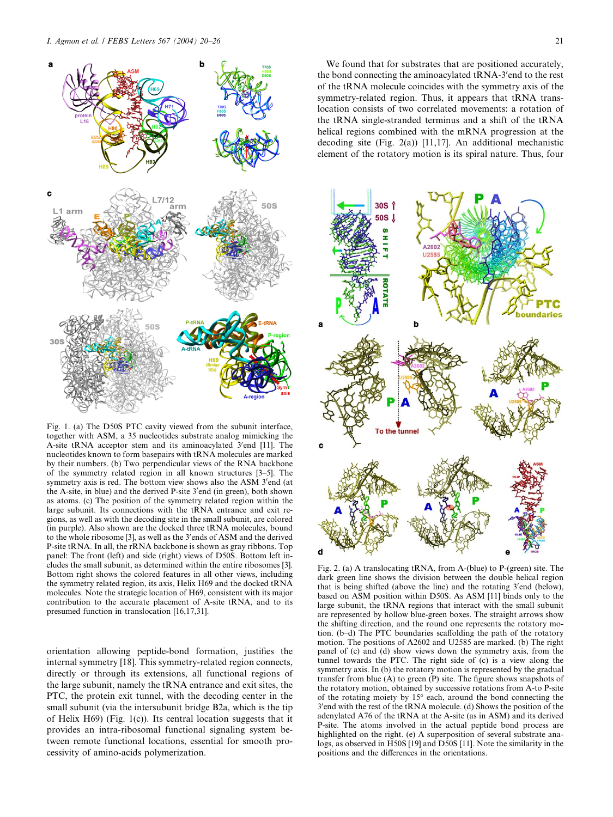

Fig. 1. (a) The D50S PTC cavity viewed from the subunit interface, together with ASM, a 35 nucleotides substrate analog mimicking the A-site tRNA acceptor stem and its aminoacylated 3'end [11]. The nucleotides known to form basepairs with tRNA molecules are marked by their numbers. (b) Two perpendicular views of the RNA backbone of the symmetry related region in all known structures [3–5]. The symmetry axis is red. The bottom view shows also the ASM 3'end (at the A-site, in blue) and the derived P-site 3'end (in green), both shown as atoms. (c) The position of the symmetry related region within the large subunit. Its connections with the tRNA entrance and exit regions, as well as with the decoding site in the small subunit, are colored (in purple). Also shown are the docked three tRNA molecules, bound to the whole ribosome [3], as well as the 3'ends of ASM and the derived P-site tRNA. In all, the rRNA backbone is shown as gray ribbons. Top panel: The front (left) and side (right) views of D50S. Bottom left includes the small subunit, as determined within the entire ribosomes [3]. Bottom right shows the colored features in all other views, including the symmetry related region, its axis, Helix H69 and the docked tRNA molecules. Note the strategic location of H69, consistent with its major contribution to the accurate placement of A-site tRNA, and to its presumed function in translocation [16,17,31].

orientation allowing peptide-bond formation, justifies the internal symmetry [18]. This symmetry-related region connects, directly or through its extensions, all functional regions of the large subunit, namely the tRNA entrance and exit sites, the PTC, the protein exit tunnel, with the decoding center in the small subunit (via the intersubunit bridge B2a, which is the tip of Helix H69) (Fig. 1(c)). Its central location suggests that it provides an intra-ribosomal functional signaling system between remote functional locations, essential for smooth processivity of amino-acids polymerization.

We found that for substrates that are positioned accurately, the bond connecting the aminoacylated tRNA-3'end to the rest of the tRNA molecule coincides with the symmetry axis of the symmetry-related region. Thus, it appears that tRNA translocation consists of two correlated movements: a rotation of the tRNA single-stranded terminus and a shift of the tRNA helical regions combined with the mRNA progression at the decoding site (Fig. 2(a)) [11,17]. An additional mechanistic element of the rotatory motion is its spiral nature. Thus, four



Fig. 2. (a) A translocating tRNA, from A-(blue) to P-(green) site. The dark green line shows the division between the double helical region that is being shifted (above the line) and the rotating 3'end (below), based on ASM position within D50S. As ASM [11] binds only to the large subunit, the tRNA regions that interact with the small subunit are represented by hollow blue-green boxes. The straight arrows show the shifting direction, and the round one represents the rotatory motion. (b–d) The PTC boundaries scaffolding the path of the rotatory motion. The positions of A2602 and U2585 are marked. (b) The right panel of (c) and (d) show views down the symmetry axis, from the tunnel towards the PTC. The right side of (c) is a view along the symmetry axis. In (b) the rotatory motion is represented by the gradual transfer from blue (A) to green (P) site. The figure shows snapshots of the rotatory motion, obtained by successive rotations from A-to P-site of the rotating moiety by  $15^{\circ}$  each, around the bond connecting the 3' end with the rest of the tRNA molecule. (d) Shows the position of the adenylated A76 of the tRNA at the A-site (as in ASM) and its derived P-site. The atoms involved in the actual peptide bond process are highlighted on the right. (e) A superposition of several substrate analogs, as observed in H50S [19] and D50S [11]. Note the similarity in the positions and the differences in the orientations.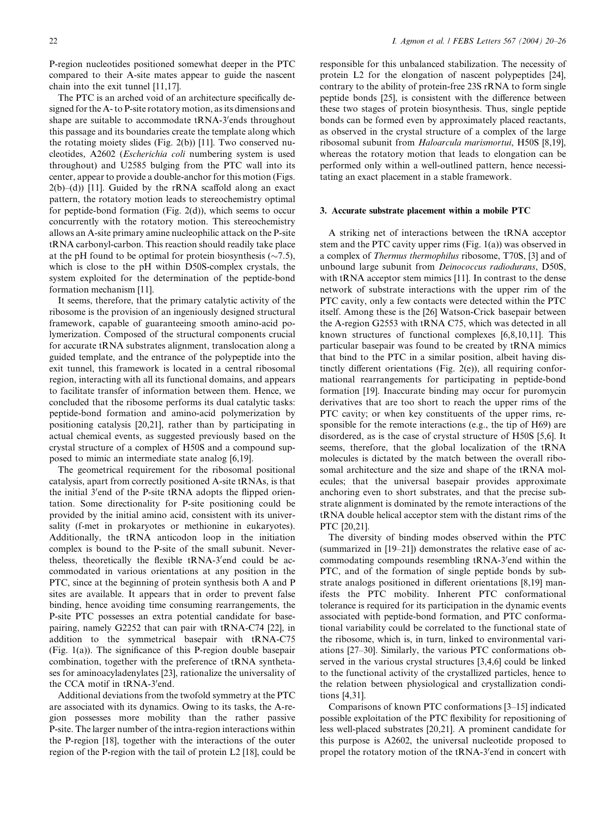P-region nucleotides positioned somewhat deeper in the PTC compared to their A-site mates appear to guide the nascent chain into the exit tunnel [11,17].

The PTC is an arched void of an architecture specifically designed for the A- to P-site rotatory motion, as its dimensions and shape are suitable to accommodate tRNA-3'ends throughout this passage and its boundaries create the template along which the rotating moiety slides (Fig. 2(b)) [11]. Two conserved nucleotides, A2602 (Escherichia coli numbering system is used throughout) and U2585 bulging from the PTC wall into its center, appear to provide a double-anchor for this motion (Figs.  $2(b)$ –(d)) [11]. Guided by the rRNA scaffold along an exact pattern, the rotatory motion leads to stereochemistry optimal for peptide-bond formation (Fig. 2(d)), which seems to occur concurrently with the rotatory motion. This stereochemistry allows an A-site primary amine nucleophilic attack on the P-site tRNA carbonyl-carbon. This reaction should readily take place at the pH found to be optimal for protein biosynthesis  $(\sim 7.5)$ , which is close to the pH within D50S-complex crystals, the system exploited for the determination of the peptide-bond formation mechanism [11].

It seems, therefore, that the primary catalytic activity of the ribosome is the provision of an ingeniously designed structural framework, capable of guaranteeing smooth amino-acid polymerization. Composed of the structural components crucial for accurate tRNA substrates alignment, translocation along a guided template, and the entrance of the polypeptide into the exit tunnel, this framework is located in a central ribosomal region, interacting with all its functional domains, and appears to facilitate transfer of information between them. Hence, we concluded that the ribosome performs its dual catalytic tasks: peptide-bond formation and amino-acid polymerization by positioning catalysis [20,21], rather than by participating in actual chemical events, as suggested previously based on the crystal structure of a complex of H50S and a compound supposed to mimic an intermediate state analog [6,19].

The geometrical requirement for the ribosomal positional catalysis, apart from correctly positioned A-site tRNAs, is that the initial 3'end of the P-site tRNA adopts the flipped orientation. Some directionality for P-site positioning could be provided by the initial amino acid, consistent with its universality (f-met in prokaryotes or methionine in eukaryotes). Additionally, the tRNA anticodon loop in the initiation complex is bound to the P-site of the small subunit. Nevertheless, theoretically the flexible tRNA-3'end could be accommodated in various orientations at any position in the PTC, since at the beginning of protein synthesis both A and P sites are available. It appears that in order to prevent false binding, hence avoiding time consuming rearrangements, the P-site PTC possesses an extra potential candidate for basepairing, namely G2252 that can pair with tRNA-C74 [22], in addition to the symmetrical basepair with tRNA-C75 (Fig. 1(a)). The significance of this P-region double basepair combination, together with the preference of tRNA synthetases for aminoacyladenylates [23], rationalize the universality of the CCA motif in tRNA-3'end.

Additional deviations from the twofold symmetry at the PTC are associated with its dynamics. Owing to its tasks, the A-region possesses more mobility than the rather passive P-site. The larger number of the intra-region interactions within the P-region [18], together with the interactions of the outer region of the P-region with the tail of protein L2 [18], could be

responsible for this unbalanced stabilization. The necessity of protein L2 for the elongation of nascent polypeptides [24], contrary to the ability of protein-free 23S rRNA to form single peptide bonds [25], is consistent with the difference between these two stages of protein biosynthesis. Thus, single peptide bonds can be formed even by approximately placed reactants, as observed in the crystal structure of a complex of the large ribosomal subunit from Haloarcula marismortui, H50S [8,19], whereas the rotatory motion that leads to elongation can be performed only within a well-outlined pattern, hence necessitating an exact placement in a stable framework.

#### 3. Accurate substrate placement within a mobile PTC

A striking net of interactions between the tRNA acceptor stem and the PTC cavity upper rims (Fig. 1(a)) was observed in a complex of Thermus thermophilus ribosome, T70S, [3] and of unbound large subunit from Deinococcus radiodurans, D50S, with tRNA acceptor stem mimics [11]. In contrast to the dense network of substrate interactions with the upper rim of the PTC cavity, only a few contacts were detected within the PTC itself. Among these is the [26] Watson-Crick basepair between the A-region G2553 with tRNA C75, which was detected in all known structures of functional complexes [6,8,10,11]. This particular basepair was found to be created by tRNA mimics that bind to the PTC in a similar position, albeit having distinctly different orientations (Fig. 2(e)), all requiring conformational rearrangements for participating in peptide-bond formation [19]. Inaccurate binding may occur for puromycin derivatives that are too short to reach the upper rims of the PTC cavity; or when key constituents of the upper rims, responsible for the remote interactions (e.g., the tip of H69) are disordered, as is the case of crystal structure of H50S [5,6]. It seems, therefore, that the global localization of the tRNA molecules is dictated by the match between the overall ribosomal architecture and the size and shape of the tRNA molecules; that the universal basepair provides approximate anchoring even to short substrates, and that the precise substrate alignment is dominated by the remote interactions of the tRNA double helical acceptor stem with the distant rims of the PTC [20,21].

The diversity of binding modes observed within the PTC (summarized in [19–21]) demonstrates the relative ease of accommodating compounds resembling tRNA-3'end within the PTC, and of the formation of single peptide bonds by substrate analogs positioned in different orientations [8,19] manifests the PTC mobility. Inherent PTC conformational tolerance is required for its participation in the dynamic events associated with peptide-bond formation, and PTC conformational variability could be correlated to the functional state of the ribosome, which is, in turn, linked to environmental variations [27–30]. Similarly, the various PTC conformations observed in the various crystal structures [3,4,6] could be linked to the functional activity of the crystallized particles, hence to the relation between physiological and crystallization conditions [4,31].

Comparisons of known PTC conformations [3–15] indicated possible exploitation of the PTC flexibility for repositioning of less well-placed substrates [20,21]. A prominent candidate for this purpose is A2602, the universal nucleotide proposed to propel the rotatory motion of the tRNA-3'end in concert with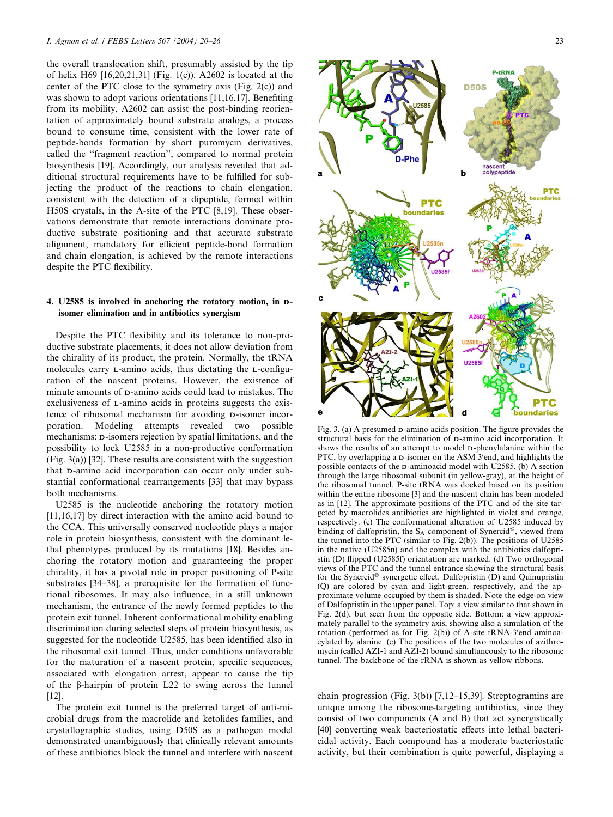the overall translocation shift, presumably assisted by the tip of helix H69 [16,20,21,31] (Fig. 1(c)). A2602 is located at the center of the PTC close to the symmetry axis (Fig. 2(c)) and was shown to adopt various orientations [11,16,17]. Benefiting from its mobility, A2602 can assist the post-binding reorientation of approximately bound substrate analogs, a process bound to consume time, consistent with the lower rate of peptide-bonds formation by short puromycin derivatives, called the ''fragment reaction'', compared to normal protein biosynthesis [19]. Accordingly, our analysis revealed that additional structural requirements have to be fulfilled for subjecting the product of the reactions to chain elongation, consistent with the detection of a dipeptide, formed within H50S crystals, in the A-site of the PTC [8,19]. These observations demonstrate that remote interactions dominate productive substrate positioning and that accurate substrate alignment, mandatory for efficient peptide-bond formation and chain elongation, is achieved by the remote interactions despite the PTC flexibility.

## 4. U2585 is involved in anchoring the rotatory motion, in Disomer elimination and in antibiotics synergism

Despite the PTC flexibility and its tolerance to non-productive substrate placements, it does not allow deviation from the chirality of its product, the protein. Normally, the tRNA molecules carry L-amino acids, thus dictating the L-configuration of the nascent proteins. However, the existence of minute amounts of D-amino acids could lead to mistakes. The exclusiveness of L-amino acids in proteins suggests the existence of ribosomal mechanism for avoiding D-isomer incorporation. Modeling attempts revealed two possible mechanisms: D-isomers rejection by spatial limitations, and the possibility to lock U2585 in a non-productive conformation (Fig. 3(a)) [32]. These results are consistent with the suggestion that D-amino acid incorporation can occur only under substantial conformational rearrangements [33] that may bypass both mechanisms.

U2585 is the nucleotide anchoring the rotatory motion [11,16,17] by direct interaction with the amino acid bound to the CCA. This universally conserved nucleotide plays a major role in protein biosynthesis, consistent with the dominant lethal phenotypes produced by its mutations [18]. Besides anchoring the rotatory motion and guaranteeing the proper chirality, it has a pivotal role in proper positioning of P-site substrates [34–38], a prerequisite for the formation of functional ribosomes. It may also influence, in a still unknown mechanism, the entrance of the newly formed peptides to the protein exit tunnel. Inherent conformational mobility enabling discrimination during selected steps of protein biosynthesis, as suggested for the nucleotide U2585, has been identified also in the ribosomal exit tunnel. Thus, under conditions unfavorable for the maturation of a nascent protein, specific sequences, associated with elongation arrest, appear to cause the tip of the b-hairpin of protein L22 to swing across the tunnel [12].

The protein exit tunnel is the preferred target of anti-microbial drugs from the macrolide and ketolides families, and crystallographic studies, using D50S as a pathogen model demonstrated unambiguously that clinically relevant amounts of these antibiotics block the tunnel and interfere with nascent



Fig. 3. (a) A presumed D-amino acids position. The figure provides the structural basis for the elimination of D-amino acid incorporation. It shows the results of an attempt to model D-phenylalanine within the PTC, by overlapping a p-isomer on the ASM 3'end, and highlights the possible contacts of the D-aminoacid model with U2585. (b) A section through the large ribosomal subunit (in yellow-gray), at the height of the ribosomal tunnel. P-site tRNA was docked based on its position within the entire ribosome [3] and the nascent chain has been modeled as in [12]. The approximate positions of the PTC and of the site targeted by macrolides antibiotics are highlighted in violet and orange, respectively. (c) The conformational alteration of U2585 induced by binding of dalfopristin, the  $S_A$  component of Synercid<sup>®</sup>, viewed from the tunnel into the PTC (similar to Fig. 2(b)). The positions of U2585 in the native (U2585n) and the complex with the antibiotics dalfopristin (D) flipped (U2585f) orientation are marked. (d) Two orthogonal views of the PTC and the tunnel entrance showing the structural basis for the Synercid<sup> $\circ$ </sup> synergetic effect. Dalfopristin (D) and Quinupristin (Q) are colored by cyan and light-green, respectively, and the approximate volume occupied by them is shaded. Note the edge-on view of Dalfopristin in the upper panel. Top: a view similar to that shown in Fig. 2(d), but seen from the opposite side. Bottom: a view approximately parallel to the symmetry axis, showing also a simulation of the rotation (performed as for Fig. 2(b)) of A-site tRNA-3'end aminoacylated by alanine. (e) The positions of the two molecules of azithromycin (called AZI-1 and AZI-2) bound simultaneously to the ribosome tunnel. The backbone of the rRNA is shown as yellow ribbons.

chain progression (Fig. 3(b)) [7,12–15,39]. Streptogramins are unique among the ribosome-targeting antibiotics, since they consist of two components (A and B) that act synergistically [40] converting weak bacteriostatic effects into lethal bactericidal activity. Each compound has a moderate bacteriostatic activity, but their combination is quite powerful, displaying a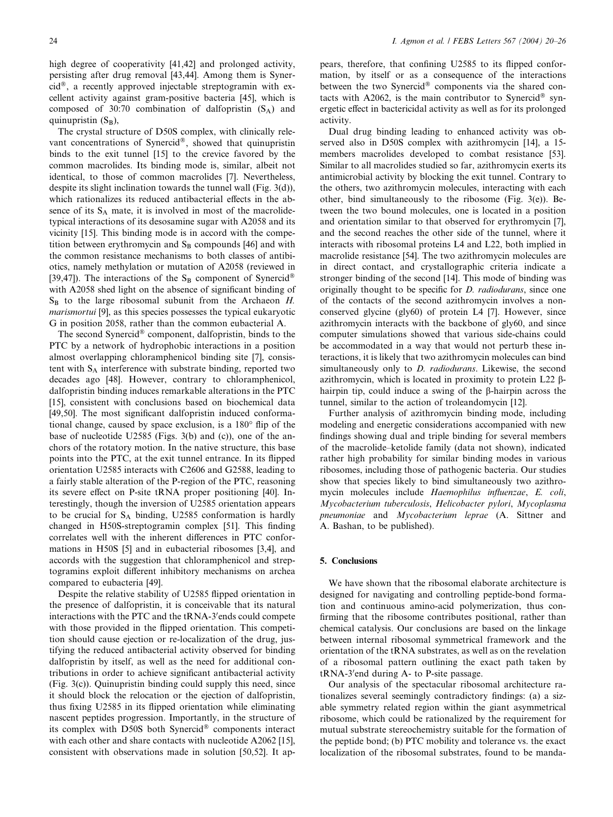high degree of cooperativity [41,42] and prolonged activity, persisting after drug removal [43,44]. Among them is Syner $cid^{\circledast}$ , a recently approved injectable streptogramin with excellent activity against gram-positive bacteria [45], which is composed of 30:70 combination of dalfopristin  $(S_A)$  and quinupristin  $(S_B)$ ,

The crystal structure of D50S complex, with clinically relevant concentrations of Synercid®, showed that quinupristin binds to the exit tunnel [15] to the crevice favored by the common macrolides. Its binding mode is, similar, albeit not identical, to those of common macrolides [7]. Nevertheless, despite its slight inclination towards the tunnel wall (Fig. 3(d)). which rationalizes its reduced antibacterial effects in the absence of its S<sub>A</sub> mate, it is involved in most of the macrolidetypical interactions of its desosamine sugar with A2058 and its vicinity [15]. This binding mode is in accord with the competition between erythromycin and  $S_B$  compounds [46] and with the common resistance mechanisms to both classes of antibiotics, namely methylation or mutation of A2058 (reviewed in [39,47]). The interactions of the S<sub>B</sub> component of Synercid<sup>®</sup> with A2058 shed light on the absence of significant binding of  $S_B$  to the large ribosomal subunit from the Archaeon  $H$ . marismortui [9], as this species possesses the typical eukaryotic G in position 2058, rather than the common eubacterial A.

The second Synercid<sup>®</sup> component, dalfopristin, binds to the PTC by a network of hydrophobic interactions in a position almost overlapping chloramphenicol binding site [7], consistent with SA interference with substrate binding, reported two decades ago [48]. However, contrary to chloramphenicol, dalfopristin binding induces remarkable alterations in the PTC [15], consistent with conclusions based on biochemical data [49,50]. The most significant dalfopristin induced conformational change, caused by space exclusion, is a 180° flip of the base of nucleotide U2585 (Figs. 3(b) and (c)), one of the anchors of the rotatory motion. In the native structure, this base points into the PTC, at the exit tunnel entrance. In its flipped orientation U2585 interacts with C2606 and G2588, leading to a fairly stable alteration of the P-region of the PTC, reasoning its severe effect on P-site tRNA proper positioning [40]. Interestingly, though the inversion of U2585 orientation appears to be crucial for  $S_A$  binding, U2585 conformation is hardly changed in H50S-streptogramin complex [51]. This finding correlates well with the inherent differences in PTC conformations in H50S [5] and in eubacterial ribosomes [3,4], and accords with the suggestion that chloramphenicol and streptogramins exploit different inhibitory mechanisms on archea compared to eubacteria [49].

Despite the relative stability of U2585 flipped orientation in the presence of dalfopristin, it is conceivable that its natural interactions with the PTC and the tRNA-3'ends could compete with those provided in the flipped orientation. This competition should cause ejection or re-localization of the drug, justifying the reduced antibacterial activity observed for binding dalfopristin by itself, as well as the need for additional contributions in order to achieve significant antibacterial activity (Fig. 3(c)). Quinupristin binding could supply this need, since it should block the relocation or the ejection of dalfopristin, thus fixing U2585 in its flipped orientation while eliminating nascent peptides progression. Importantly, in the structure of its complex with D50S both Synercid® components interact with each other and share contacts with nucleotide A2062 [15], consistent with observations made in solution [50,52]. It ap-

pears, therefore, that confining U2585 to its flipped conformation, by itself or as a consequence of the interactions between the two Synercid® components via the shared contacts with A2062, is the main contributor to Synercid<sup>®</sup> synergetic effect in bactericidal activity as well as for its prolonged activity.

Dual drug binding leading to enhanced activity was observed also in D50S complex with azithromycin [14], a 15 members macrolides developed to combat resistance [53]. Similar to all macrolides studied so far, azithromycin exerts its antimicrobial activity by blocking the exit tunnel. Contrary to the others, two azithromycin molecules, interacting with each other, bind simultaneously to the ribosome (Fig. 3(e)). Between the two bound molecules, one is located in a position and orientation similar to that observed for erythromycin [7], and the second reaches the other side of the tunnel, where it interacts with ribosomal proteins L4 and L22, both implied in macrolide resistance [54]. The two azithromycin molecules are in direct contact, and crystallographic criteria indicate a stronger binding of the second [14]. This mode of binding was originally thought to be specific for *D. radiodurans*, since one of the contacts of the second azithromycin involves a nonconserved glycine (gly60) of protein L4 [7]. However, since azithromycin interacts with the backbone of gly60, and since computer simulations showed that various side-chains could be accommodated in a way that would not perturb these interactions, it is likely that two azithromycin molecules can bind simultaneously only to *D. radiodurans*. Likewise, the second azithromycin, which is located in proximity to protein L22  $\beta$ hairpin tip, could induce a swing of the  $\beta$ -hairpin across the tunnel, similar to the action of troleandomycin [12].

Further analysis of azithromycin binding mode, including modeling and energetic considerations accompanied with new findings showing dual and triple binding for several members of the macrolide–ketolide family (data not shown), indicated rather high probability for similar binding modes in various ribosomes, including those of pathogenic bacteria. Our studies show that species likely to bind simultaneously two azithromycin molecules include Haemophilus influenzae, E. coli, Mycobacterium tuberculosis, Helicobacter pylori, Mycoplasma pneumoniae and Mycobacterium leprae (A. Sittner and A. Bashan, to be published).

### 5. Conclusions

We have shown that the ribosomal elaborate architecture is designed for navigating and controlling peptide-bond formation and continuous amino-acid polymerization, thus confirming that the ribosome contributes positional, rather than chemical catalysis. Our conclusions are based on the linkage between internal ribosomal symmetrical framework and the orientation of the tRNA substrates, as well as on the revelation of a ribosomal pattern outlining the exact path taken by tRNA-3'end during A- to P-site passage.

Our analysis of the spectacular ribosomal architecture rationalizes several seemingly contradictory findings: (a) a sizable symmetry related region within the giant asymmetrical ribosome, which could be rationalized by the requirement for mutual substrate stereochemistry suitable for the formation of the peptide bond; (b) PTC mobility and tolerance vs. the exact localization of the ribosomal substrates, found to be manda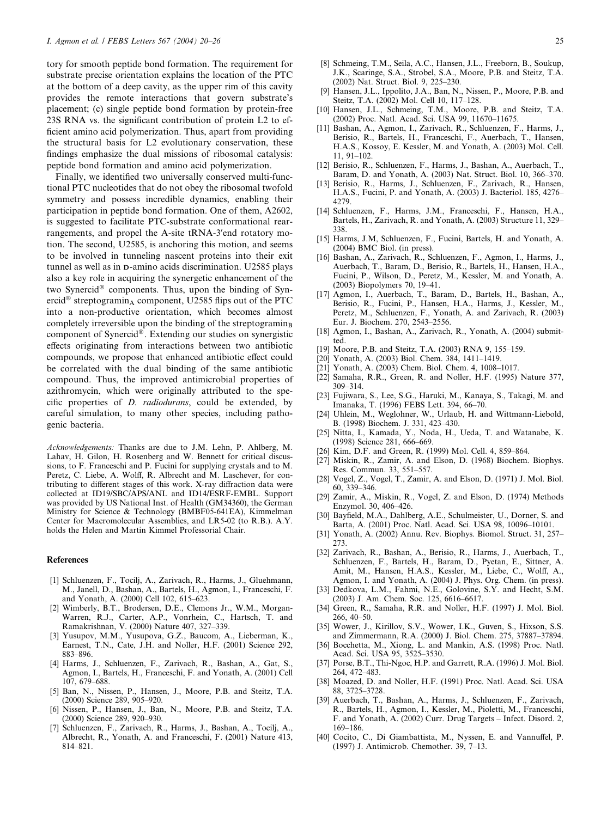tory for smooth peptide bond formation. The requirement for substrate precise orientation explains the location of the PTC at the bottom of a deep cavity, as the upper rim of this cavity provides the remote interactions that govern substrate's placement; (c) single peptide bond formation by protein-free 23S RNA vs. the significant contribution of protein L2 to efficient amino acid polymerization. Thus, apart from providing the structural basis for L2 evolutionary conservation, these findings emphasize the dual missions of ribosomal catalysis: peptide bond formation and amino acid polymerization.

Finally, we identified two universally conserved multi-functional PTC nucleotides that do not obey the ribosomal twofold symmetry and possess incredible dynamics, enabling their participation in peptide bond formation. One of them, A2602, is suggested to facilitate PTC-substrate conformational rearrangements, and propel the A-site tRNA-3'end rotatory motion. The second, U2585, is anchoring this motion, and seems to be involved in tunneling nascent proteins into their exit tunnel as well as in D-amino acids discrimination. U2585 plays also a key role in acquiring the synergetic enhancement of the two Synercid<sup>®</sup> components. Thus, upon the binding of Synercid<sup>®</sup> streptogramin<sub>A</sub> component, U2585 flips out of the PTC into a non-productive orientation, which becomes almost completely irreversible upon the binding of the streptogramin<sub>B</sub> component of Synercid®. Extending our studies on synergistic effects originating from interactions between two antibiotic compounds, we propose that enhanced antibiotic effect could be correlated with the dual binding of the same antibiotic compound. Thus, the improved antimicrobial properties of azithromycin, which were originally attributed to the specific properties of D. radiodurans, could be extended, by careful simulation, to many other species, including pathogenic bacteria.

Acknowledgements: Thanks are due to J.M. Lehn, P. Ahlberg, M. Lahav, H. Gilon, H. Rosenberg and W. Bennett for critical discussions, to F. Franceschi and P. Fucini for supplying crystals and to M. Peretz, C. Liebe, A. Wolff, R. Albrecht and M. Laschever, for contributing to different stages of this work. X-ray diffraction data were collected at ID19/SBC/APS/ANL and ID14/ESRF-EMBL. Support was provided by US National Inst. of Health (GM34360), the German Ministry for Science & Technology (BMBF05-641EA), Kimmelman Center for Macromolecular Assemblies, and LR5-02 (to R.B.). A.Y. holds the Helen and Martin Kimmel Professorial Chair.

#### **References**

- [1] Schluenzen, F., Tocilj, A., Zarivach, R., Harms, J., Gluehmann, M., Janell, D., Bashan, A., Bartels, H., Agmon, I., Franceschi, F. and Yonath, A. (2000) Cell 102, 615–623.
- [2] Wimberly, B.T., Brodersen, D.E., Clemons Jr., W.M., Morgan-Warren, R.J., Carter, A.P., Vonrhein, C., Hartsch, T. and Ramakrishnan, V. (2000) Nature 407, 327–339.
- Yusupov, M.M., Yusupova, G.Z., Baucom, A., Lieberman, K., Earnest, T.N., Cate, J.H. and Noller, H.F. (2001) Science 292, 883–896.
- [4] Harms, J., Schluenzen, F., Zarivach, R., Bashan, A., Gat, S. Agmon, I., Bartels, H., Franceschi, F. and Yonath, A. (2001) Cell 107, 679–688.
- [5] Ban, N., Nissen, P., Hansen, J., Moore, P.B. and Steitz, T.A. (2000) Science 289, 905–920.
- [6] Nissen, P., Hansen, J., Ban, N., Moore, P.B. and Steitz, T.A. (2000) Science 289, 920–930.
- [7] Schluenzen, F., Zarivach, R., Harms, J., Bashan, A., Tocilj, A., Albrecht, R., Yonath, A. and Franceschi, F. (2001) Nature 413, 814–821.
- [8] Schmeing, T.M., Seila, A.C., Hansen, J.L., Freeborn, B., Soukup, J.K., Scaringe, S.A., Strobel, S.A., Moore, P.B. and Steitz, T.A. (2002) Nat. Struct. Biol. 9, 225–230.
- [9] Hansen, J.L., Ippolito, J.A., Ban, N., Nissen, P., Moore, P.B. and Steitz, T.A. (2002) Mol. Cell 10, 117–128.
- [10] Hansen, J.L., Schmeing, T.M., Moore, P.B. and Steitz, T.A. (2002) Proc. Natl. Acad. Sci. USA 99, 11670–11675.
- [11] Bashan, A., Agmon, I., Zarivach, R., Schluenzen, F., Harms, J., Berisio, R., Bartels, H., Franceschi, F., Auerbach, T., Hansen, H.A.S., Kossoy, E. Kessler, M. and Yonath, A. (2003) Mol. Cell. 11, 91–102.
- [12] Berisio, R., Schluenzen, F., Harms, J., Bashan, A., Auerbach, T., Baram, D. and Yonath, A. (2003) Nat. Struct. Biol. 10, 366–370.
- [13] Berisio, R., Harms, J., Schluenzen, F., Zarivach, R., Hansen, H.A.S., Fucini, P. and Yonath, A. (2003) J. Bacteriol. 185, 4276– 4279.
- [14] Schluenzen, F., Harms, J.M., Franceschi, F., Hansen, H.A., Bartels, H., Zarivach, R. and Yonath, A. (2003) Structure 11, 329– 338.
- [15] Harms, J.M, Schluenzen, F., Fucini, Bartels, H. and Yonath, A. (2004) BMC Biol. (in press).
- [16] Bashan, A., Zarivach, R., Schluenzen, F., Agmon, I., Harms, J., Auerbach, T., Baram, D., Berisio, R., Bartels, H., Hansen, H.A., Fucini, P., Wilson, D., Peretz, M., Kessler, M. and Yonath, A. (2003) Biopolymers 70, 19–41.
- [17] Agmon, I., Auerbach, T., Baram, D., Bartels, H., Bashan, A., Berisio, R., Fucini, P., Hansen, H.A., Harms, J., Kessler, M., Peretz, M., Schluenzen, F., Yonath, A. and Zarivach, R. (2003) Eur. J. Biochem. 270, 2543–2556.
- [18] Agmon, I., Bashan, A., Zarivach, R., Yonath, A. (2004) submitted.
- [19] Moore, P.B. and Steitz, T.A. (2003) RNA 9, 155–159.
- [20] Yonath, A. (2003) Biol. Chem. 384, 1411–1419.
- [21] Yonath, A. (2003) Chem. Biol. Chem. 4, 1008–1017.
- [22] Samaha, R.R., Green, R. and Noller, H.F. (1995) Nature 377, 309–314.
- [23] Fujiwara, S., Lee, S.G., Haruki, M., Kanaya, S., Takagi, M. and Imanaka, T. (1996) FEBS Lett. 394, 66–70.
- [24] Uhlein, M., Weglohner, W., Urlaub, H. and Wittmann-Liebold, B. (1998) Biochem. J. 331, 423–430.
- [25] Nitta, I., Kamada, Y., Noda, H., Ueda, T. and Watanabe, K. (1998) Science 281, 666–669.
- [26] Kim, D.F. and Green, R. (1999) Mol. Cell. 4, 859-864.
- [27] Miskin, R., Zamir, A. and Elson, D. (1968) Biochem. Biophys. Res. Commun. 33, 551–557.
- [28] Vogel, Z., Vogel, T., Zamir, A. and Elson, D. (1971) J. Mol. Biol. 60, 339–346.
- [29] Zamir, A., Miskin, R., Vogel, Z. and Elson, D. (1974) Methods Enzymol. 30, 406–426.
- [30] Bayfield, M.A., Dahlberg, A.E., Schulmeister, U., Dorner, S. and Barta, A. (2001) Proc. Natl. Acad. Sci. USA 98, 10096–10101.
- [31] Yonath, A. (2002) Annu. Rev. Biophys. Biomol. Struct. 31, 257– 273.
- [32] Zarivach, R., Bashan, A., Berisio, R., Harms, J., Auerbach, T., Schluenzen, F., Bartels, H., Baram, D., Pyetan, E., Sittner, A. Amit, M., Hansen, H.A.S., Kessler, M., Liebe, C., Wolff, A., Agmon, I. and Yonath, A. (2004) J. Phys. Org. Chem. (in press).
- [33] Dedkova, L.M., Fahmi, N.E., Golovine, S.Y. and Hecht, S.M. (2003) J. Am. Chem. Soc. 125, 6616–6617.
- [34] Green, R., Samaha, R.R. and Noller, H.F. (1997) J. Mol. Biol. 266, 40–50.
- [35] Wower, J., Kirillov, S.V., Wower, I.K., Guven, S., Hixson, S.S. and Zimmermann, R.A. (2000) J. Biol. Chem. 275, 37887–37894.
- [36] Bocchetta, M., Xiong, L. and Mankin, A.S. (1998) Proc. Natl. Acad. Sci. USA 95, 3525–3530.
- [37] Porse, B.T., Thi-Ngoc, H.P. and Garrett, R.A. (1996) J. Mol. Biol. 264, 472–483.
- [38] Moazed, D. and Noller, H.F. (1991) Proc. Natl. Acad. Sci. USA 88, 3725–3728.
- [39] Auerbach, T., Bashan, A., Harms, J., Schluenzen, F., Zarivach, R., Bartels, H., Agmon, I., Kessler, M., Pioletti, M., Franceschi, F. and Yonath, A. (2002) Curr. Drug Targets – Infect. Disord. 2, 169–186.
- [40] Cocito, C., Di Giambattista, M., Nyssen, E. and Vannuffel, P. (1997) J. Antimicrob. Chemother. 39, 7–13.